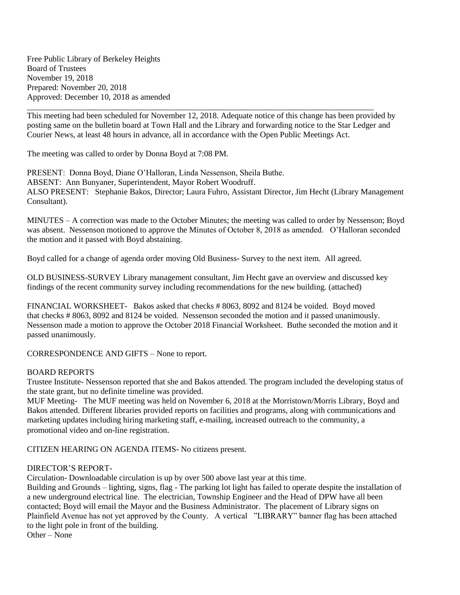Free Public Library of Berkeley Heights Board of Trustees November 19, 2018 Prepared: November 20, 2018 Approved: December 10, 2018 as amended

\_\_\_\_\_\_\_\_\_\_\_\_\_\_\_\_\_\_\_\_\_\_\_\_\_\_\_\_\_\_\_\_\_\_\_\_\_\_\_\_\_\_\_\_\_\_\_\_\_\_\_\_\_\_\_\_\_\_\_\_\_\_\_\_\_\_\_\_\_\_\_\_\_\_\_\_\_\_\_\_\_\_\_\_ This meeting had been scheduled for November 12, 2018. Adequate notice of this change has been provided by posting same on the bulletin board at Town Hall and the Library and forwarding notice to the Star Ledger and Courier News, at least 48 hours in advance, all in accordance with the Open Public Meetings Act.

The meeting was called to order by Donna Boyd at 7:08 PM.

PRESENT: Donna Boyd, Diane O'Halloran, Linda Nessenson, Sheila Buthe. ABSENT: Ann Bunyaner, Superintendent, Mayor Robert Woodruff. ALSO PRESENT: Stephanie Bakos, Director; Laura Fuhro, Assistant Director, Jim Hecht (Library Management Consultant).

MINUTES – A correction was made to the October Minutes; the meeting was called to order by Nessenson; Boyd was absent. Nessenson motioned to approve the Minutes of October 8, 2018 as amended. O'Halloran seconded the motion and it passed with Boyd abstaining.

Boyd called for a change of agenda order moving Old Business- Survey to the next item. All agreed.

OLD BUSINESS-SURVEY Library management consultant, Jim Hecht gave an overview and discussed key findings of the recent community survey including recommendations for the new building. (attached)

FINANCIAL WORKSHEET- Bakos asked that checks # 8063, 8092 and 8124 be voided. Boyd moved that checks # 8063, 8092 and 8124 be voided. Nessenson seconded the motion and it passed unanimously. Nessenson made a motion to approve the October 2018 Financial Worksheet. Buthe seconded the motion and it passed unanimously.

CORRESPONDENCE AND GIFTS – None to report.

## BOARD REPORTS

Trustee Institute- Nessenson reported that she and Bakos attended. The program included the developing status of the state grant, but no definite timeline was provided.

MUF Meeting- The MUF meeting was held on November 6, 2018 at the Morristown/Morris Library, Boyd and Bakos attended. Different libraries provided reports on facilities and programs, along with communications and marketing updates including hiring marketing staff, e-mailing, increased outreach to the community, a promotional video and on-line registration.

CITIZEN HEARING ON AGENDA ITEMS- No citizens present.

## DIRECTOR'S REPORT-

Circulation- Downloadable circulation is up by over 500 above last year at this time.

Building and Grounds – lighting, signs, flag - The parking lot light has failed to operate despite the installation of a new underground electrical line. The electrician, Township Engineer and the Head of DPW have all been contacted; Boyd will email the Mayor and the Business Administrator. The placement of Library signs on Plainfield Avenue has not yet approved by the County. A vertical "LIBRARY" banner flag has been attached to the light pole in front of the building.

Other – None